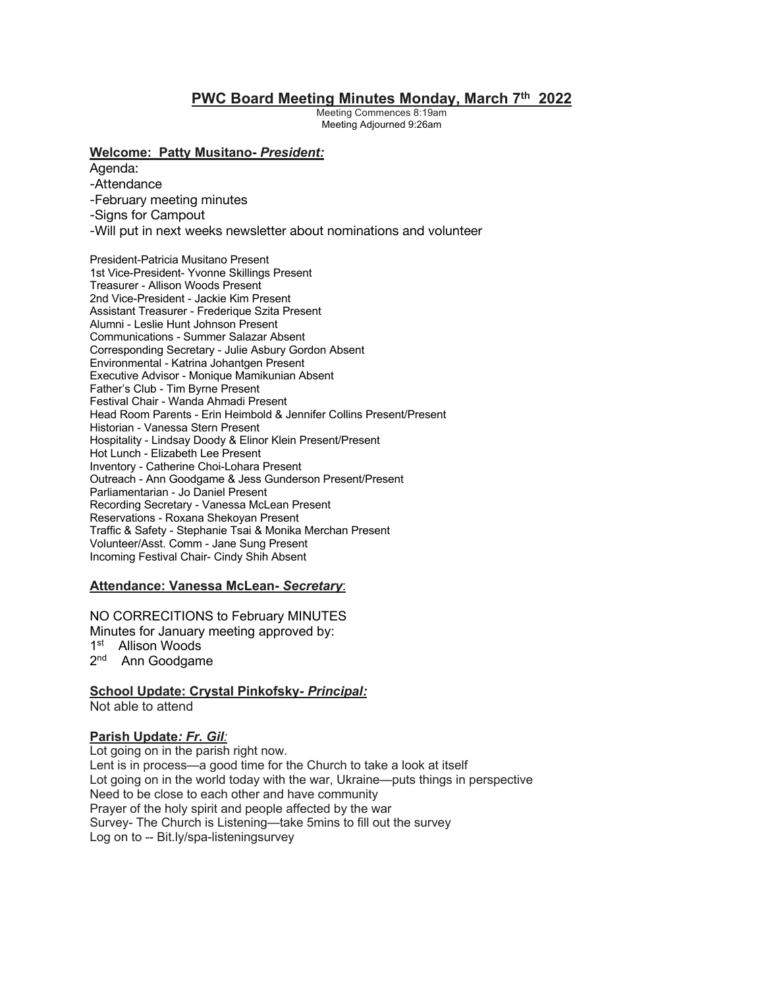# **PWC Board Meeting Minutes Monday, March 7th 2022**

Meeting Commences 8:19am Meeting Adjourned 9:26am

#### **Welcome: Patty Musitano-** *President:*

Agenda:

- -Attendance
- -February meeting minutes
- -Signs for Campout
- -Will put in next weeks newsletter about nominations and volunteer

President-Patricia Musitano Present 1st Vice-President- Yvonne Skillings Present Treasurer - Allison Woods Present 2nd Vice-President - Jackie Kim Present Assistant Treasurer - Frederique Szita Present Alumni - Leslie Hunt Johnson Present Communications - Summer Salazar Absent Corresponding Secretary - Julie Asbury Gordon Absent Environmental - Katrina Johantgen Present Executive Advisor - Monique Mamikunian Absent Father's Club - Tim Byrne Present Festival Chair - Wanda Ahmadi Present Head Room Parents - Erin Heimbold & Jennifer Collins Present/Present Historian - Vanessa Stern Present Hospitality - Lindsay Doody & Elinor Klein Present/Present Hot Lunch - Elizabeth Lee Present Inventory - Catherine Choi-Lohara Present Outreach - Ann Goodgame & Jess Gunderson Present/Present Parliamentarian - Jo Daniel Present Recording Secretary - Vanessa McLean Present Reservations - Roxana Shekoyan Present Traffic & Safety - Stephanie Tsai & Monika Merchan Present Volunteer/Asst. Comm - Jane Sung Present Incoming Festival Chair- Cindy Shih Absent

### **Attendance: Vanessa McLean-** *Secretary*:

NO CORRECITIONS to February MINUTES Minutes for January meeting approved by: 1st Allison Woods 2<sup>nd</sup> Ann Goodgame

**School Update: Crystal Pinkofsky***- Principal:* Not able to attend

### **Parish Update***: Fr. Gil:*

Lot going on in the parish right now. Lent is in process—a good time for the Church to take a look at itself Lot going on in the world today with the war, Ukraine—puts things in perspective Need to be close to each other and have community Prayer of the holy spirit and people affected by the war Survey- The Church is Listening—take 5mins to fill out the survey Log on to -- Bit.ly/spa-listeningsurvey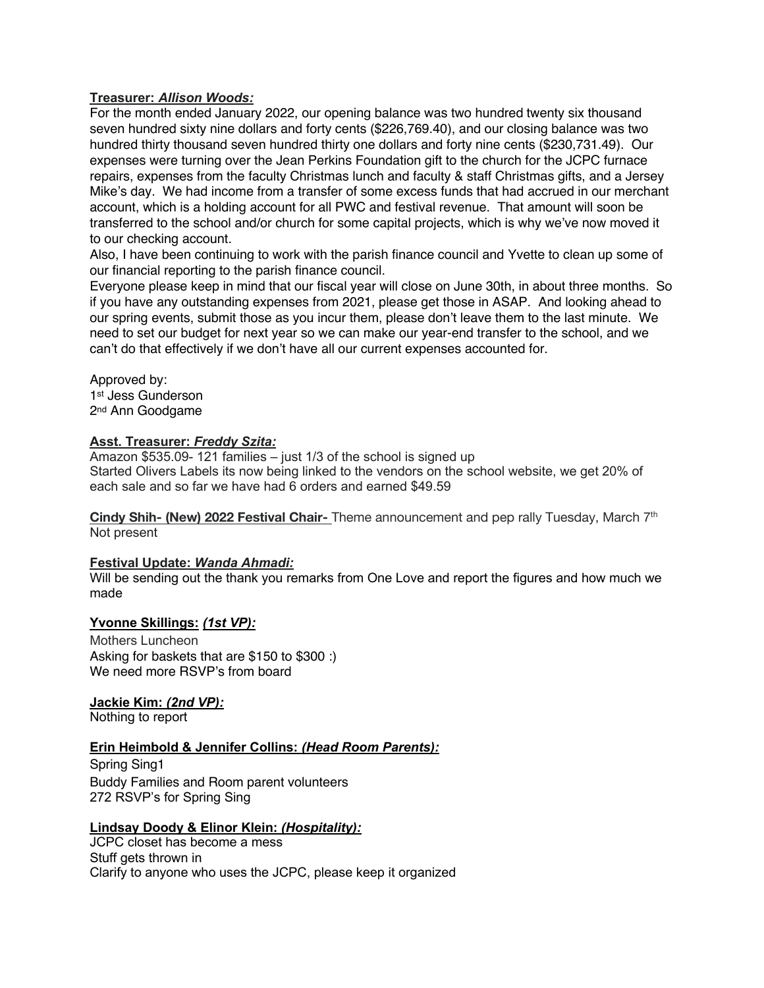### **Treasurer:** *Allison Woods:*

For the month ended January 2022, our opening balance was two hundred twenty six thousand seven hundred sixty nine dollars and forty cents (\$226,769.40), and our closing balance was two hundred thirty thousand seven hundred thirty one dollars and forty nine cents (\$230,731.49). Our expenses were turning over the Jean Perkins Foundation gift to the church for the JCPC furnace repairs, expenses from the faculty Christmas lunch and faculty & staff Christmas gifts, and a Jersey Mike's day. We had income from a transfer of some excess funds that had accrued in our merchant account, which is a holding account for all PWC and festival revenue. That amount will soon be transferred to the school and/or church for some capital projects, which is why we've now moved it to our checking account.

Also, I have been continuing to work with the parish finance council and Yvette to clean up some of our financial reporting to the parish finance council.

Everyone please keep in mind that our fiscal year will close on June 30th, in about three months. So if you have any outstanding expenses from 2021, please get those in ASAP. And looking ahead to our spring events, submit those as you incur them, please don't leave them to the last minute. We need to set our budget for next year so we can make our year-end transfer to the school, and we can't do that effectively if we don't have all our current expenses accounted for.

Approved by: 1st Jess Gunderson 2nd Ann Goodgame

### **Asst. Treasurer:** *Freddy Szita:*

Amazon \$535.09- 121 families – just 1/3 of the school is signed up Started Olivers Labels its now being linked to the vendors on the school website, we get 20% of each sale and so far we have had 6 orders and earned \$49.59

**Cindy Shih- (New) 2022 Festival Chair-** Theme announcement and pep rally Tuesday, March 7th Not present

### **Festival Update:** *Wanda Ahmadi:*

Will be sending out the thank you remarks from One Love and report the figures and how much we made

### **Yvonne Skillings:** *(1st VP):*

Mothers Luncheon Asking for baskets that are \$150 to \$300 :) We need more RSVP's from board

**Jackie Kim:** *(2nd VP):*

Nothing to report

### **Erin Heimbold & Jennifer Collins:** *(Head Room Parents):*

Spring Sing1 Buddy Families and Room parent volunteers 272 RSVP's for Spring Sing

# **Lindsay Doody & Elinor Klein:** *(Hospitality):*

JCPC closet has become a mess Stuff gets thrown in Clarify to anyone who uses the JCPC, please keep it organized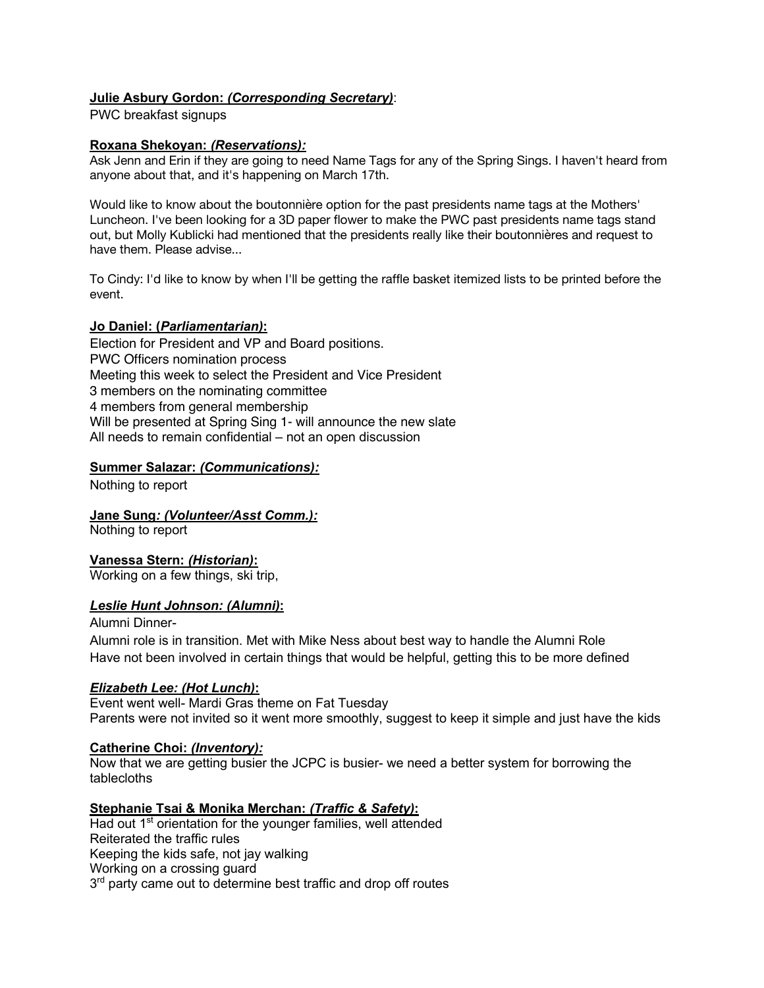### **Julie Asbury Gordon:** *(Corresponding Secretary)*:

PWC breakfast signups

#### **Roxana Shekoyan:** *(Reservations):*

Ask Jenn and Erin if they are going to need Name Tags for any of the Spring Sings. I haven't heard from anyone about that, and it's happening on March 17th.

Would like to know about the boutonnière option for the past presidents name tags at the Mothers' Luncheon. I've been looking for a 3D paper flower to make the PWC past presidents name tags stand out, but Molly Kublicki had mentioned that the presidents really like their boutonnières and request to have them. Please advise...

To Cindy: I'd like to know by when I'll be getting the raffle basket itemized lists to be printed before the event.

#### **Jo Daniel: (***Parliamentarian)***:**

Election for President and VP and Board positions. PWC Officers nomination process Meeting this week to select the President and Vice President 3 members on the nominating committee 4 members from general membership Will be presented at Spring Sing 1- will announce the new slate All needs to remain confidential – not an open discussion

#### **Summer Salazar:** *(Communications):*

Nothing to report

**Jane Sung***: (Volunteer/Asst Comm.):*

Nothing to report

**Vanessa Stern:** *(Historian)***:**

Working on a few things, ski trip,

#### *Leslie Hunt Johnson: (Alumni)***:**

Alumni Dinner-

Alumni role is in transition. Met with Mike Ness about best way to handle the Alumni Role Have not been involved in certain things that would be helpful, getting this to be more defined

#### *Elizabeth Lee: (Hot Lunch)***:**

Event went well- Mardi Gras theme on Fat Tuesday Parents were not invited so it went more smoothly, suggest to keep it simple and just have the kids

### **Catherine Choi:** *(Inventory):*

Now that we are getting busier the JCPC is busier- we need a better system for borrowing the tablecloths

### **Stephanie Tsai & Monika Merchan:** *(Traffic & Safety)***:**

Had out 1<sup>st</sup> orientation for the younger families, well attended Reiterated the traffic rules Keeping the kids safe, not jay walking Working on a crossing guard 3<sup>rd</sup> party came out to determine best traffic and drop off routes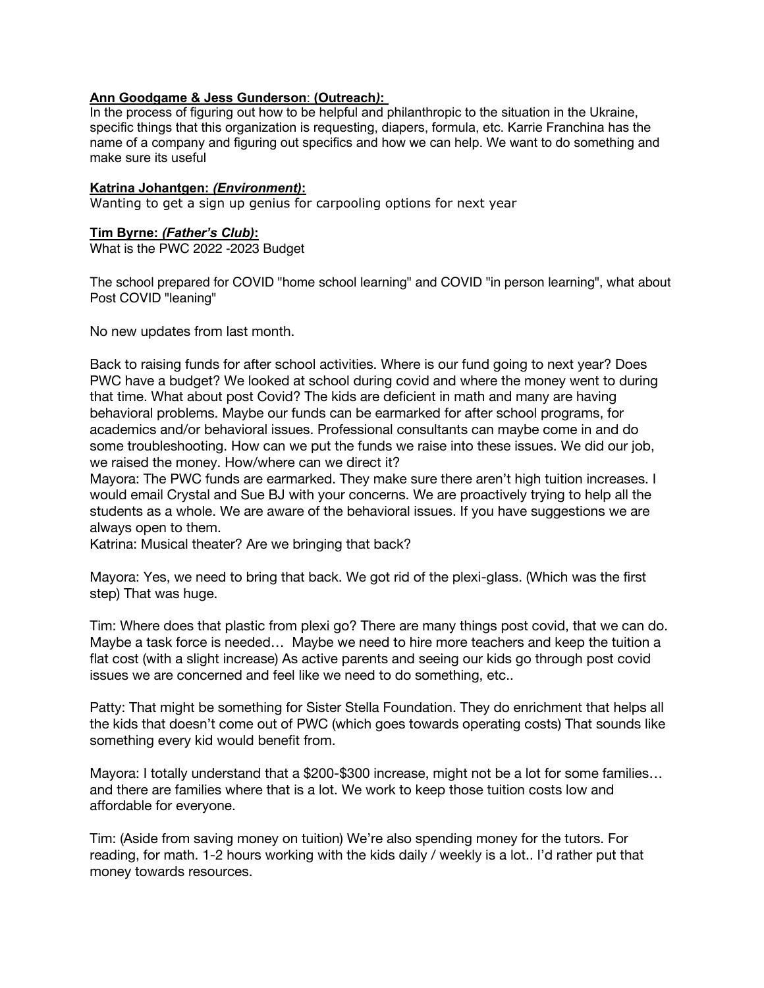### **Ann Goodgame & Jess Gunderson**: **(Outreach***)***:**

In the process of figuring out how to be helpful and philanthropic to the situation in the Ukraine, specific things that this organization is requesting, diapers, formula, etc. Karrie Franchina has the name of a company and figuring out specifics and how we can help. We want to do something and make sure its useful

### **Katrina Johantgen:** *(Environment)***:**

Wanting to get a sign up genius for carpooling options for next year

### **Tim Byrne:** *(Father's Club)***:**

What is the PWC 2022 -2023 Budget

The school prepared for COVID "home school learning" and COVID "in person learning", what about Post COVID "leaning"

No new updates from last month.

Back to raising funds for after school activities. Where is our fund going to next year? Does PWC have a budget? We looked at school during covid and where the money went to during that time. What about post Covid? The kids are deficient in math and many are having behavioral problems. Maybe our funds can be earmarked for after school programs, for academics and/or behavioral issues. Professional consultants can maybe come in and do some troubleshooting. How can we put the funds we raise into these issues. We did our job, we raised the money. How/where can we direct it?

Mayora: The PWC funds are earmarked. They make sure there aren't high tuition increases. I would email Crystal and Sue BJ with your concerns. We are proactively trying to help all the students as a whole. We are aware of the behavioral issues. If you have suggestions we are always open to them.

Katrina: Musical theater? Are we bringing that back?

Mayora: Yes, we need to bring that back. We got rid of the plexi-glass. (Which was the first step) That was huge.

Tim: Where does that plastic from plexi go? There are many things post covid, that we can do. Maybe a task force is needed… Maybe we need to hire more teachers and keep the tuition a flat cost (with a slight increase) As active parents and seeing our kids go through post covid issues we are concerned and feel like we need to do something, etc..

Patty: That might be something for Sister Stella Foundation. They do enrichment that helps all the kids that doesn't come out of PWC (which goes towards operating costs) That sounds like something every kid would benefit from.

Mayora: I totally understand that a \$200-\$300 increase, might not be a lot for some families… and there are families where that is a lot. We work to keep those tuition costs low and affordable for everyone.

Tim: (Aside from saving money on tuition) We're also spending money for the tutors. For reading, for math. 1-2 hours working with the kids daily / weekly is a lot.. I'd rather put that money towards resources.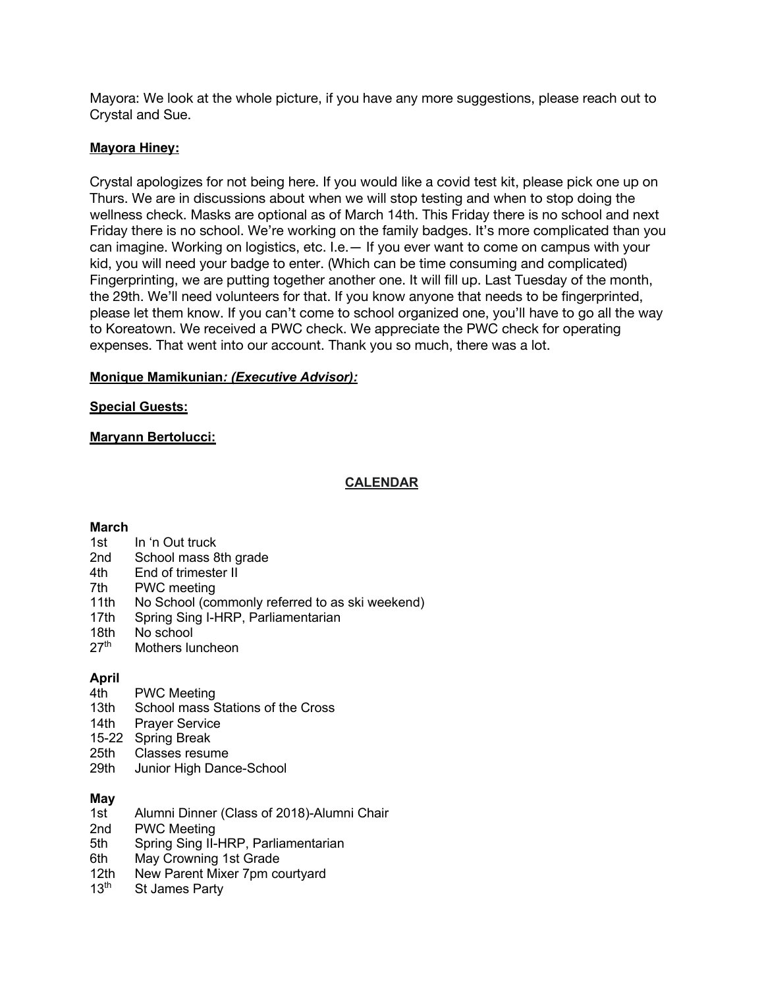Mayora: We look at the whole picture, if you have any more suggestions, please reach out to Crystal and Sue.

### **Mayora Hiney:**

Crystal apologizes for not being here. If you would like a covid test kit, please pick one up on Thurs. We are in discussions about when we will stop testing and when to stop doing the wellness check. Masks are optional as of March 14th. This Friday there is no school and next Friday there is no school. We're working on the family badges. It's more complicated than you can imagine. Working on logistics, etc. I.e.— If you ever want to come on campus with your kid, you will need your badge to enter. (Which can be time consuming and complicated) Fingerprinting, we are putting together another one. It will fill up. Last Tuesday of the month, the 29th. We'll need volunteers for that. If you know anyone that needs to be fingerprinted, please let them know. If you can't come to school organized one, you'll have to go all the way to Koreatown. We received a PWC check. We appreciate the PWC check for operating expenses. That went into our account. Thank you so much, there was a lot.

### **Monique Mamikunian***: (Executive Advisor):*

### **Special Guests:**

# **Maryann Bertolucci:**

### **CALENDAR**

### **March**

- 1st In 'n Out truck
- 2nd School mass 8th grade
- 4th End of trimester II
- 7th PWC meeting
- 11th No School (commonly referred to as ski weekend)
- 17th Spring Sing I-HRP, Parliamentarian
- 18th No school<br>27<sup>th</sup> Mothers Iu
- Mothers luncheon

# **April**

- 4th PWC Meeting
- 13th School mass Stations of the Cross
- 14th Prayer Service
- 15-22 Spring Break
- 25th Classes resume
- 29th Junior High Dance-School

# **May**

- 1st Alumni Dinner (Class of 2018)-Alumni Chair
- 2nd PWC Meeting
- 5th Spring Sing II-HRP, Parliamentarian
- 6th May Crowning 1st Grade
- 12th New Parent Mixer 7pm courtyard<br>13<sup>th</sup> St James Party
- St James Party